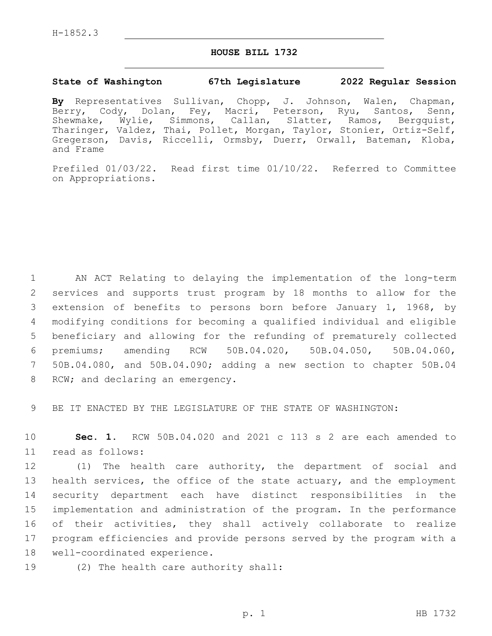## **HOUSE BILL 1732**

## **State of Washington 67th Legislature 2022 Regular Session**

**By** Representatives Sullivan, Chopp, J. Johnson, Walen, Chapman, Berry, Cody, Dolan, Fey, Macri, Peterson, Ryu, Santos, Senn, Shewmake, Wylie, Simmons, Callan, Slatter, Ramos, Bergquist, Tharinger, Valdez, Thai, Pollet, Morgan, Taylor, Stonier, Ortiz-Self, Gregerson, Davis, Riccelli, Ormsby, Duerr, Orwall, Bateman, Kloba, and Frame

Prefiled 01/03/22. Read first time 01/10/22. Referred to Committee on Appropriations.

 AN ACT Relating to delaying the implementation of the long-term services and supports trust program by 18 months to allow for the extension of benefits to persons born before January 1, 1968, by modifying conditions for becoming a qualified individual and eligible beneficiary and allowing for the refunding of prematurely collected premiums; amending RCW 50B.04.020, 50B.04.050, 50B.04.060, 50B.04.080, and 50B.04.090; adding a new section to chapter 50B.04 8 RCW; and declaring an emergency.

9 BE IT ENACTED BY THE LEGISLATURE OF THE STATE OF WASHINGTON:

10 **Sec. 1.** RCW 50B.04.020 and 2021 c 113 s 2 are each amended to 11 read as follows:

 (1) The health care authority, the department of social and health services, the office of the state actuary, and the employment security department each have distinct responsibilities in the implementation and administration of the program. In the performance of their activities, they shall actively collaborate to realize program efficiencies and provide persons served by the program with a 18 well-coordinated experience.

19 (2) The health care authority shall: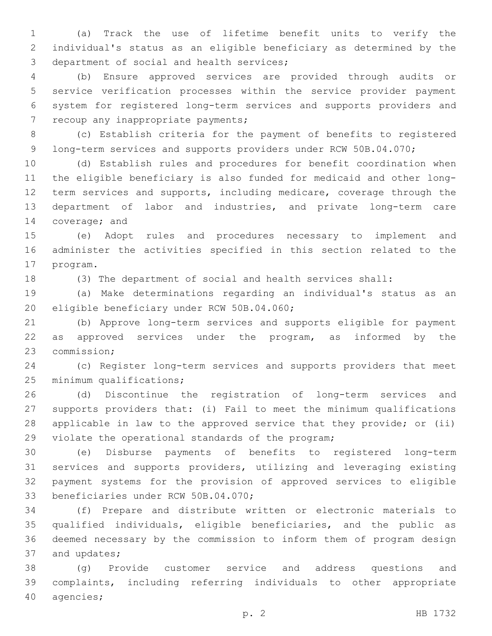(a) Track the use of lifetime benefit units to verify the individual's status as an eligible beneficiary as determined by the 3 department of social and health services;

 (b) Ensure approved services are provided through audits or service verification processes within the service provider payment system for registered long-term services and supports providers and 7 recoup any inappropriate payments;

 (c) Establish criteria for the payment of benefits to registered 9 long-term services and supports providers under RCW 50B.04.070;

 (d) Establish rules and procedures for benefit coordination when the eligible beneficiary is also funded for medicaid and other long- term services and supports, including medicare, coverage through the department of labor and industries, and private long-term care 14 coverage; and

 (e) Adopt rules and procedures necessary to implement and administer the activities specified in this section related to the 17 program.

(3) The department of social and health services shall:

 (a) Make determinations regarding an individual's status as an 20 eligible beneficiary under RCW 50B.04.060;

 (b) Approve long-term services and supports eligible for payment 22 as approved services under the program, as informed by the 23 commission;

 (c) Register long-term services and supports providers that meet 25 minimum qualifications;

 (d) Discontinue the registration of long-term services and supports providers that: (i) Fail to meet the minimum qualifications applicable in law to the approved service that they provide; or (ii) 29 violate the operational standards of the program;

 (e) Disburse payments of benefits to registered long-term services and supports providers, utilizing and leveraging existing payment systems for the provision of approved services to eligible 33 beneficiaries under RCW 50B.04.070;

 (f) Prepare and distribute written or electronic materials to qualified individuals, eligible beneficiaries, and the public as deemed necessary by the commission to inform them of program design 37 and updates;

 (g) Provide customer service and address questions and complaints, including referring individuals to other appropriate 40 agencies;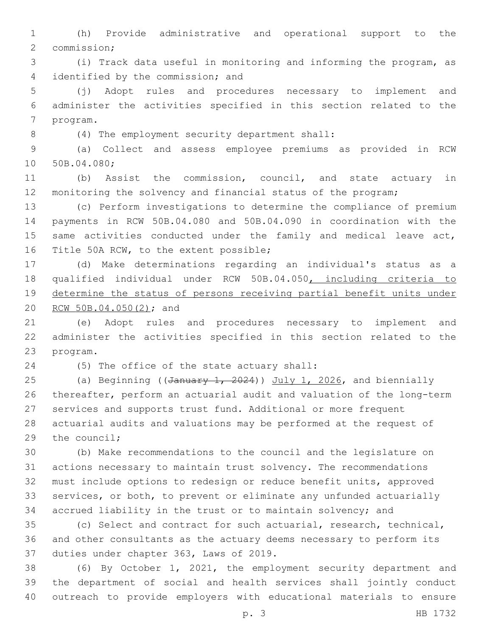(h) Provide administrative and operational support to the 2 commission;

 (i) Track data useful in monitoring and informing the program, as 4 identified by the commission; and

 (j) Adopt rules and procedures necessary to implement and administer the activities specified in this section related to the 7 program.

(4) The employment security department shall:8

 (a) Collect and assess employee premiums as provided in RCW 10 50B.04.080;

 (b) Assist the commission, council, and state actuary in monitoring the solvency and financial status of the program;

 (c) Perform investigations to determine the compliance of premium payments in RCW 50B.04.080 and 50B.04.090 in coordination with the 15 same activities conducted under the family and medical leave act, 16 Title 50A RCW, to the extent possible;

 (d) Make determinations regarding an individual's status as a qualified individual under RCW 50B.04.050, including criteria to determine the status of persons receiving partial benefit units under 20 RCW 50B.04.050(2); and

 (e) Adopt rules and procedures necessary to implement and administer the activities specified in this section related to the 23 program.

(5) The office of the state actuary shall:24

25 (a) Beginning ((January 1, 2024)) July 1, 2026, and biennially thereafter, perform an actuarial audit and valuation of the long-term services and supports trust fund. Additional or more frequent actuarial audits and valuations may be performed at the request of the council;

 (b) Make recommendations to the council and the legislature on actions necessary to maintain trust solvency. The recommendations must include options to redesign or reduce benefit units, approved services, or both, to prevent or eliminate any unfunded actuarially accrued liability in the trust or to maintain solvency; and

 (c) Select and contract for such actuarial, research, technical, and other consultants as the actuary deems necessary to perform its 37 duties under chapter 363, Laws of 2019.

 (6) By October 1, 2021, the employment security department and the department of social and health services shall jointly conduct outreach to provide employers with educational materials to ensure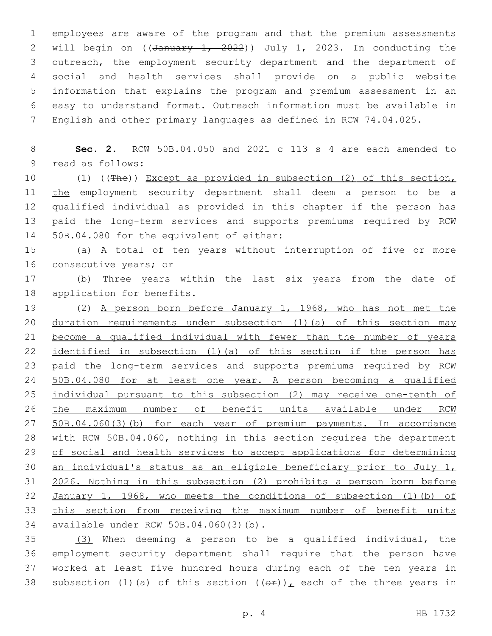employees are aware of the program and that the premium assessments 2 will begin on  $((\text{January } 1, 2022))$  July 1, 2023. In conducting the outreach, the employment security department and the department of social and health services shall provide on a public website information that explains the program and premium assessment in an easy to understand format. Outreach information must be available in English and other primary languages as defined in RCW 74.04.025.

 **Sec. 2.** RCW 50B.04.050 and 2021 c 113 s 4 are each amended to 9 read as follows:

 (1) ((The)) Except as provided in subsection (2) of this section, 11 the employment security department shall deem a person to be a qualified individual as provided in this chapter if the person has paid the long-term services and supports premiums required by RCW 14 50B.04.080 for the equivalent of either:

 (a) A total of ten years without interruption of five or more 16 consecutive years; or

 (b) Three years within the last six years from the date of 18 application for benefits.

 (2) A person born before January 1, 1968, who has not met the 20 duration requirements under subsection (1)(a) of this section may become a qualified individual with fewer than the number of years 22 identified in subsection (1) (a) of this section if the person has paid the long-term services and supports premiums required by RCW 50B.04.080 for at least one year. A person becoming a qualified individual pursuant to this subsection (2) may receive one-tenth of the maximum number of benefit units available under RCW 50B.04.060(3)(b) for each year of premium payments. In accordance with RCW 50B.04.060, nothing in this section requires the department 29 of social and health services to accept applications for determining an individual's status as an eligible beneficiary prior to July 1, 2026. Nothing in this subsection (2) prohibits a person born before January 1, 1968, who meets the conditions of subsection (1)(b) of this section from receiving the maximum number of benefit units available under RCW 50B.04.060(3)(b).

 (3) When deeming a person to be a qualified individual, the employment security department shall require that the person have worked at least five hundred hours during each of the ten years in 38 subsection (1)(a) of this section  $((\theta \hat{r}))_L$  each of the three years in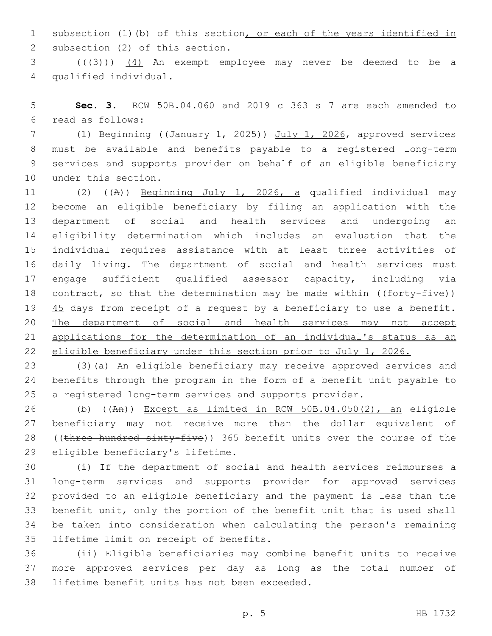subsection (1)(b) of this section, or each of the years identified in 2 subsection (2) of this section.

3 (((3)) (4) An exempt employee may never be deemed to be a qualified individual.4

 **Sec. 3.** RCW 50B.04.060 and 2019 c 363 s 7 are each amended to read as follows:6

7 (1) Beginning ((January 1, 2025)) July 1, 2026, approved services must be available and benefits payable to a registered long-term services and supports provider on behalf of an eligible beneficiary 10 under this section.

 (2) ((A)) Beginning July 1, 2026, a qualified individual may become an eligible beneficiary by filing an application with the department of social and health services and undergoing an eligibility determination which includes an evaluation that the individual requires assistance with at least three activities of daily living. The department of social and health services must engage sufficient qualified assessor capacity, including via 18 contract, so that the determination may be made within (( $forty-five$ )) 19 45 days from receipt of a request by a beneficiary to use a benefit. 20 The department of social and health services may not accept applications for the determination of an individual's status as an eligible beneficiary under this section prior to July 1, 2026.

 (3)(a) An eligible beneficiary may receive approved services and benefits through the program in the form of a benefit unit payable to a registered long-term services and supports provider.

 (b) ((An)) Except as limited in RCW 50B.04.050(2), an eligible beneficiary may not receive more than the dollar equivalent of 28 ((three hundred sixty-five)) 365 benefit units over the course of the 29 eligible beneficiary's lifetime.

 (i) If the department of social and health services reimburses a long-term services and supports provider for approved services provided to an eligible beneficiary and the payment is less than the benefit unit, only the portion of the benefit unit that is used shall be taken into consideration when calculating the person's remaining 35 lifetime limit on receipt of benefits.

 (ii) Eligible beneficiaries may combine benefit units to receive more approved services per day as long as the total number of 38 lifetime benefit units has not been exceeded.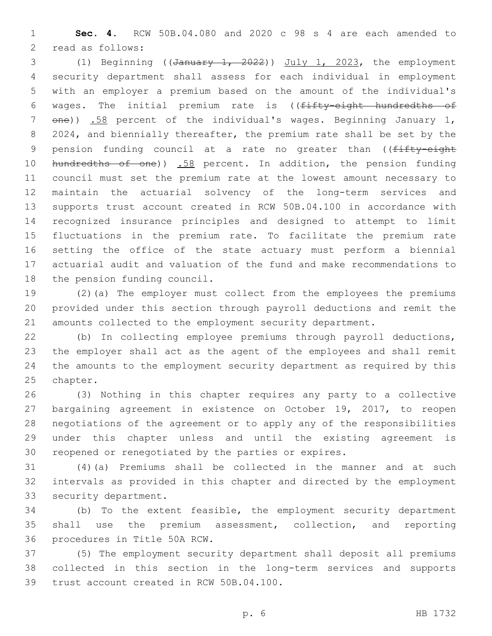**Sec. 4.** RCW 50B.04.080 and 2020 c 98 s 4 are each amended to 2 read as follows:

 (1) Beginning ((January 1, 2022)) July 1, 2023, the employment security department shall assess for each individual in employment with an employer a premium based on the amount of the individual's 6 wages. The initial premium rate is ((fifty-eight hundredths of 7 one)) .58 percent of the individual's wages. Beginning January 1, 2024, and biennially thereafter, the premium rate shall be set by the 9 pension funding council at a rate no greater than ((fifty-eight 10 hundredths of one)) .58 percent. In addition, the pension funding council must set the premium rate at the lowest amount necessary to maintain the actuarial solvency of the long-term services and supports trust account created in RCW 50B.04.100 in accordance with recognized insurance principles and designed to attempt to limit fluctuations in the premium rate. To facilitate the premium rate setting the office of the state actuary must perform a biennial actuarial audit and valuation of the fund and make recommendations to 18 the pension funding council.

 (2)(a) The employer must collect from the employees the premiums provided under this section through payroll deductions and remit the amounts collected to the employment security department.

 (b) In collecting employee premiums through payroll deductions, the employer shall act as the agent of the employees and shall remit the amounts to the employment security department as required by this 25 chapter.

 (3) Nothing in this chapter requires any party to a collective bargaining agreement in existence on October 19, 2017, to reopen negotiations of the agreement or to apply any of the responsibilities under this chapter unless and until the existing agreement is reopened or renegotiated by the parties or expires.

 (4)(a) Premiums shall be collected in the manner and at such intervals as provided in this chapter and directed by the employment 33 security department.

 (b) To the extent feasible, the employment security department shall use the premium assessment, collection, and reporting 36 procedures in Title 50A RCW.

 (5) The employment security department shall deposit all premiums collected in this section in the long-term services and supports 39 trust account created in RCW 50B.04.100.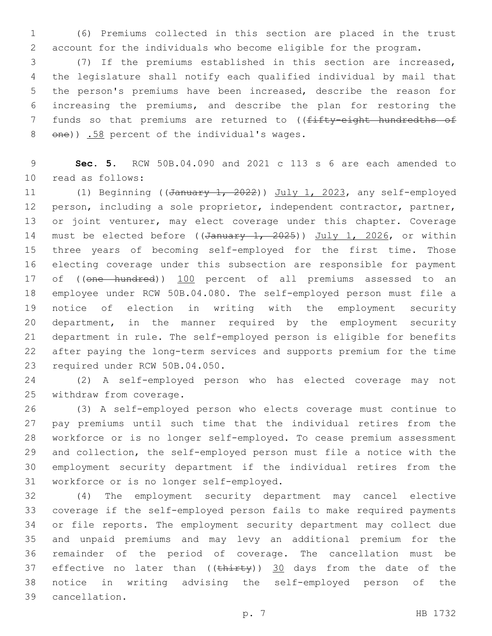(6) Premiums collected in this section are placed in the trust account for the individuals who become eligible for the program.

 (7) If the premiums established in this section are increased, the legislature shall notify each qualified individual by mail that the person's premiums have been increased, describe the reason for increasing the premiums, and describe the plan for restoring the 7 funds so that premiums are returned to ((fifty-eight hundredths of 8 one)) .58 percent of the individual's wages.

 **Sec. 5.** RCW 50B.04.090 and 2021 c 113 s 6 are each amended to 10 read as follows:

11 (1) Beginning ((January 1, 2022)) July 1, 2023, any self-employed person, including a sole proprietor, independent contractor, partner, or joint venturer, may elect coverage under this chapter. Coverage 14 must be elected before ((January 1, 2025)) July 1, 2026, or within three years of becoming self-employed for the first time. Those electing coverage under this subsection are responsible for payment 17 of ((one hundred)) 100 percent of all premiums assessed to an employee under RCW 50B.04.080. The self-employed person must file a notice of election in writing with the employment security department, in the manner required by the employment security department in rule. The self-employed person is eligible for benefits after paying the long-term services and supports premium for the time 23 required under RCW 50B.04.050.

 (2) A self-employed person who has elected coverage may not 25 withdraw from coverage.

 (3) A self-employed person who elects coverage must continue to pay premiums until such time that the individual retires from the workforce or is no longer self-employed. To cease premium assessment and collection, the self-employed person must file a notice with the employment security department if the individual retires from the 31 workforce or is no longer self-employed.

 (4) The employment security department may cancel elective coverage if the self-employed person fails to make required payments or file reports. The employment security department may collect due and unpaid premiums and may levy an additional premium for the remainder of the period of coverage. The cancellation must be 37 effective no later than  $((\text{thirty}))$  30 days from the date of the notice in writing advising the self-employed person of the cancellation.39